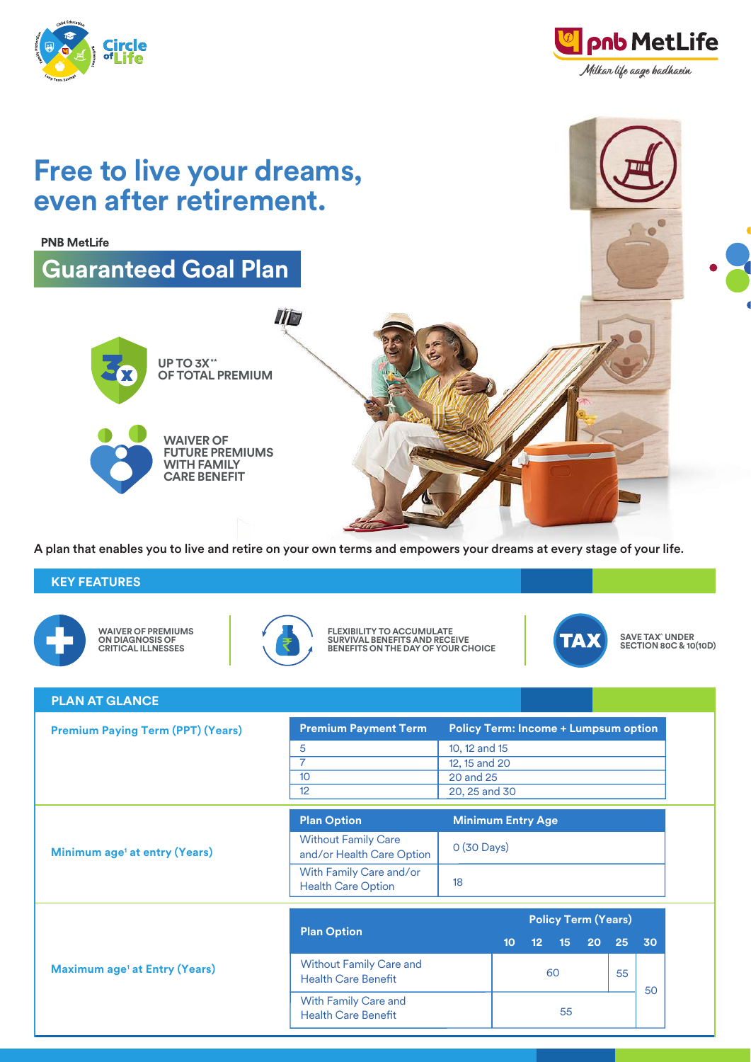



 $\overline{a}$ 

## **Free to live your dreams, even after retirement.**

**PNB MetLife** 

**KEY FEATURES**

**WAIVER OF PREMIUMS ON DIAGNOSIS OF CRITICAL ILLNESSES**

**UP TO 3X\*\* OF TOTAL PREMIUM**

**Guaranteed Goal Plan** 

**WAIVER OF FUTURE PREMIUMS WITH FAMILY**

**CARE BENEFIT**



IID

**FLEXIBILITY TO ACCUMULATE SURVIVAL BENEFITS AND RECEIVE BENEFITS ON THE DAY OF YOUR CHOICE**

A plan that enables you to live and retire on your own terms and empowers your dreams at every stage of your life.



**SAVE TAX^ UNDER SECTION 80C & 10(10D)**

| <b>PLAN AT GLANCE</b>                           |                                                              |                                             |                          |                 |                 |                 |    |    |  |
|-------------------------------------------------|--------------------------------------------------------------|---------------------------------------------|--------------------------|-----------------|-----------------|-----------------|----|----|--|
| <b>Premium Paying Term (PPT) (Years)</b>        | <b>Premium Payment Term</b>                                  | <b>Policy Term: Income + Lumpsum option</b> |                          |                 |                 |                 |    |    |  |
|                                                 | 5                                                            | 10, 12 and 15                               |                          |                 |                 |                 |    |    |  |
|                                                 |                                                              | 12, 15 and 20                               |                          |                 |                 |                 |    |    |  |
|                                                 | 10                                                           | 20 and 25                                   |                          |                 |                 |                 |    |    |  |
|                                                 | 12                                                           | 20, 25 and 30                               |                          |                 |                 |                 |    |    |  |
| Minimum age <sup>1</sup> at entry (Years)       | <b>Plan Option</b>                                           |                                             | <b>Minimum Entry Age</b> |                 |                 |                 |    |    |  |
|                                                 | <b>Without Family Care</b><br>and/or Health Care Option      |                                             | 0 (30 Days)              |                 |                 |                 |    |    |  |
|                                                 | With Family Care and/or<br><b>Health Care Option</b>         | 18                                          |                          |                 |                 |                 |    |    |  |
|                                                 |                                                              |                                             |                          |                 |                 |                 |    |    |  |
| <b>Maximum age<sup>1</sup> at Entry (Years)</b> | <b>Plan Option</b>                                           | <b>Policy Term (Years)</b>                  |                          |                 |                 |                 |    |    |  |
|                                                 |                                                              |                                             | 10 <sub>10</sub>         | 12 <sub>2</sub> | 15 <sup>2</sup> | 20 <sup>°</sup> | 25 | 30 |  |
|                                                 | <b>Without Family Care and</b><br><b>Health Care Benefit</b> |                                             | 60<br>55                 |                 |                 | 50              |    |    |  |
|                                                 | With Family Care and<br><b>Health Care Benefit</b>           |                                             |                          | 55              |                 |                 |    |    |  |